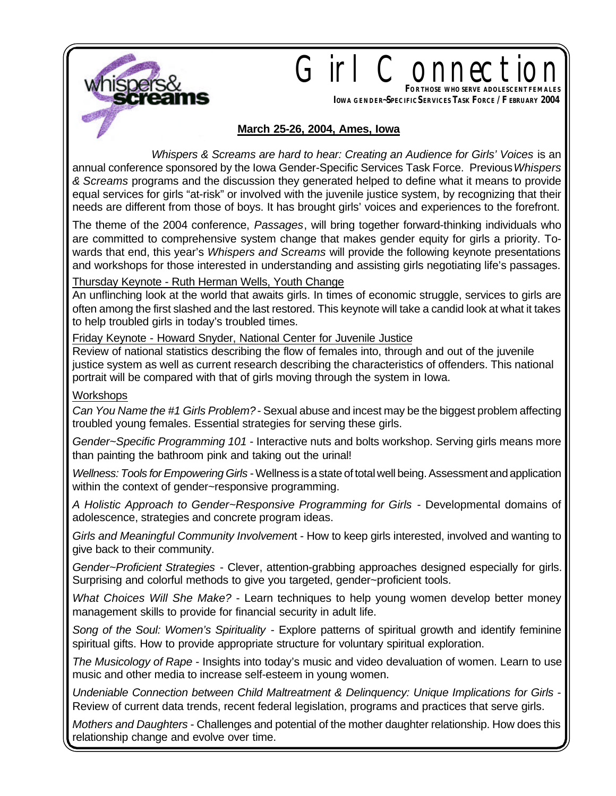

# Girl Connect **FORTHOSE WHO SERVE ADOLESCENTFEMALES**

**IOWA GENDER~SPECIFIC SERVICES TASK FORCE / F EBRUARY 2004**

### **March 25-26, 2004, Ames, Iowa**

 *Whispers & Screams are hard to hear: Creating an Audience for Girls' Voices* is an annual conference sponsored by the Iowa Gender-Specific Services Task Force. Previous *Whispers & Screams* programs and the discussion they generated helped to define what it means to provide equal services for girls "at-risk" or involved with the juvenile justice system, by recognizing that their needs are different from those of boys. It has brought girls' voices and experiences to the forefront.

The theme of the 2004 conference, *Passages*, will bring together forward-thinking individuals who are committed to comprehensive system change that makes gender equity for girls a priority. Towards that end, this year's *Whispers and Screams* will provide the following keynote presentations and workshops for those interested in understanding and assisting girls negotiating life's passages.

Thursday Keynote - Ruth Herman Wells, Youth Change

An unflinching look at the world that awaits girls. In times of economic struggle, services to girls are often among the first slashed and the last restored. This keynote will take a candid look at what it takes to help troubled girls in today's troubled times.

Friday Keynote - Howard Snyder, National Center for Juvenile Justice

Review of national statistics describing the flow of females into, through and out of the juvenile justice system as well as current research describing the characteristics of offenders. This national portrait will be compared with that of girls moving through the system in Iowa.

#### **Workshops**

*Can You Name the #1 Girls Problem?* - Sexual abuse and incest may be the biggest problem affecting troubled young females. Essential strategies for serving these girls.

*Gender~Specific Programming 101* - Interactive nuts and bolts workshop. Serving girls means more than painting the bathroom pink and taking out the urinal!

*Wellness: Tools for Empowering Girls* - Wellness is a state of total well being. Assessment and application within the context of gender~responsive programming.

*A Holistic Approach to Gender~Responsive Programming for Girls* - Developmental domains of adolescence, strategies and concrete program ideas.

*Girls and Meaningful Community Involvemen*t - How to keep girls interested, involved and wanting to give back to their community.

*Gender~Proficient Strategies* - Clever, attention-grabbing approaches designed especially for girls. Surprising and colorful methods to give you targeted, gender~proficient tools.

*What Choices Will She Make?* - Learn techniques to help young women develop better money management skills to provide for financial security in adult life.

*Song of the Soul: Women's Spirituality* - Explore patterns of spiritual growth and identify feminine spiritual gifts. How to provide appropriate structure for voluntary spiritual exploration.

*The Musicology of Rape* - Insights into today's music and video devaluation of women. Learn to use music and other media to increase self-esteem in young women.

*Undeniable Connection between Child Maltreatment & Delinquency: Unique Implications for Girls* - Review of current data trends, recent federal legislation, programs and practices that serve girls.

*Mothers and Daughters* - Challenges and potential of the mother daughter relationship. How does this relationship change and evolve over time.